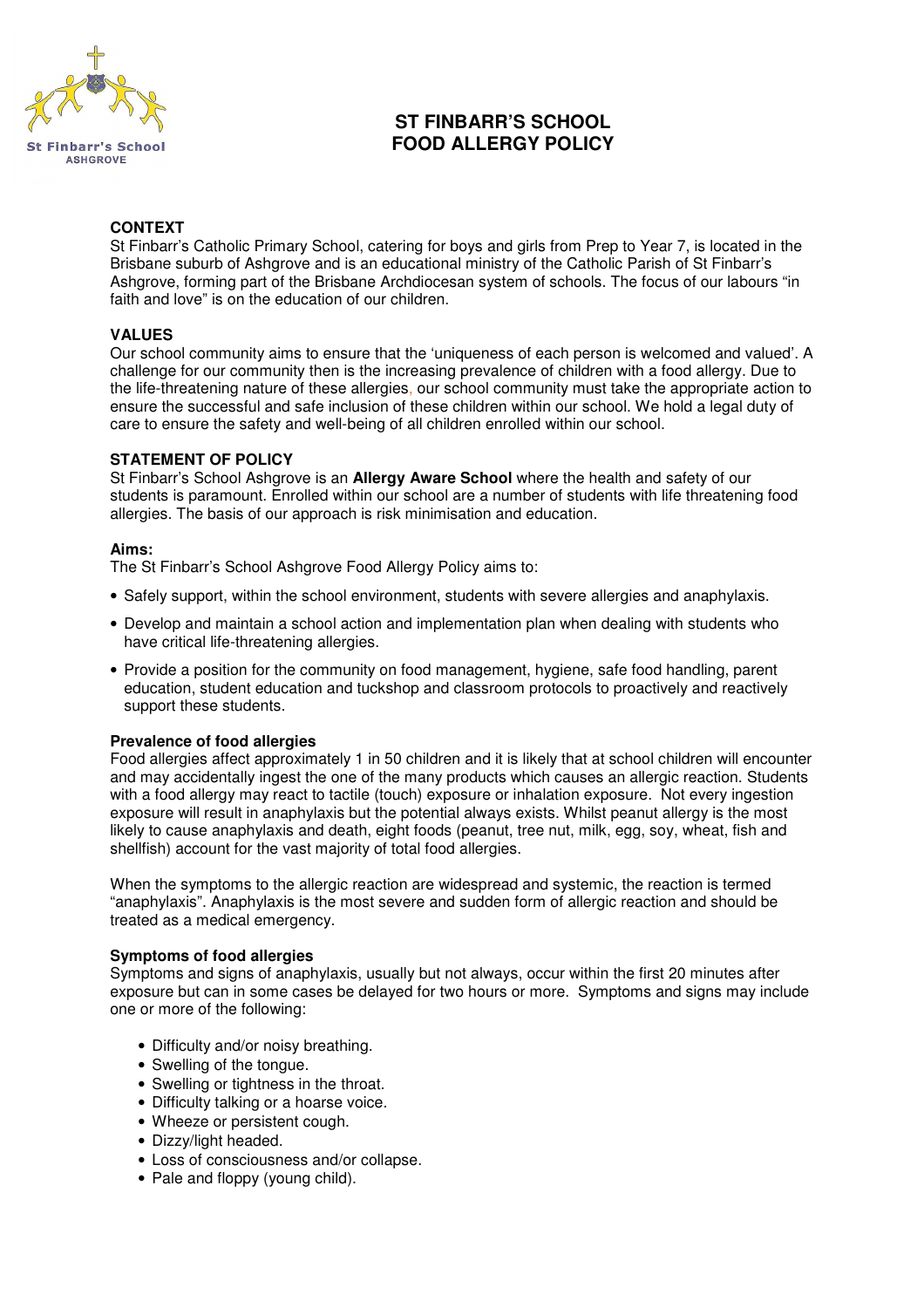

# **ST FINBARR'S SCHOOL FOOD ALLERGY POLICY**

### **CONTEXT**

St Finbarr's Catholic Primary School, catering for boys and girls from Prep to Year 7, is located in the Brisbane suburb of Ashgrove and is an educational ministry of the Catholic Parish of St Finbarr's Ashgrove, forming part of the Brisbane Archdiocesan system of schools. The focus of our labours "in faith and love" is on the education of our children.

### **VALUES**

Our school community aims to ensure that the 'uniqueness of each person is welcomed and valued'. A challenge for our community then is the increasing prevalence of children with a food allergy. Due to the life-threatening nature of these allergies, our school community must take the appropriate action to ensure the successful and safe inclusion of these children within our school. We hold a legal duty of care to ensure the safety and well-being of all children enrolled within our school.

### **STATEMENT OF POLICY**

St Finbarr's School Ashgrove is an **Allergy Aware School** where the health and safety of our students is paramount. Enrolled within our school are a number of students with life threatening food allergies. The basis of our approach is risk minimisation and education.

### **Aims:**

The St Finbarr's School Ashgrove Food Allergy Policy aims to:

- Safely support, within the school environment, students with severe allergies and anaphylaxis.
- Develop and maintain a school action and implementation plan when dealing with students who have critical life-threatening allergies.
- Provide a position for the community on food management, hygiene, safe food handling, parent education, student education and tuckshop and classroom protocols to proactively and reactively support these students.

### **Prevalence of food allergies**

Food allergies affect approximately 1 in 50 children and it is likely that at school children will encounter and may accidentally ingest the one of the many products which causes an allergic reaction. Students with a food allergy may react to tactile (touch) exposure or inhalation exposure. Not every ingestion exposure will result in anaphylaxis but the potential always exists. Whilst peanut allergy is the most likely to cause anaphylaxis and death, eight foods (peanut, tree nut, milk, egg, soy, wheat, fish and shellfish) account for the vast majority of total food allergies.

When the symptoms to the allergic reaction are widespread and systemic, the reaction is termed "anaphylaxis". Anaphylaxis is the most severe and sudden form of allergic reaction and should be treated as a medical emergency.

### **Symptoms of food allergies**

Symptoms and signs of anaphylaxis, usually but not always, occur within the first 20 minutes after exposure but can in some cases be delayed for two hours or more. Symptoms and signs may include one or more of the following:

- Difficulty and/or noisy breathing.
- Swelling of the tongue.
- Swelling or tightness in the throat.
- Difficulty talking or a hoarse voice.
- Wheeze or persistent cough.
- Dizzy/light headed.
- Loss of consciousness and/or collapse.
- Pale and floppy (young child).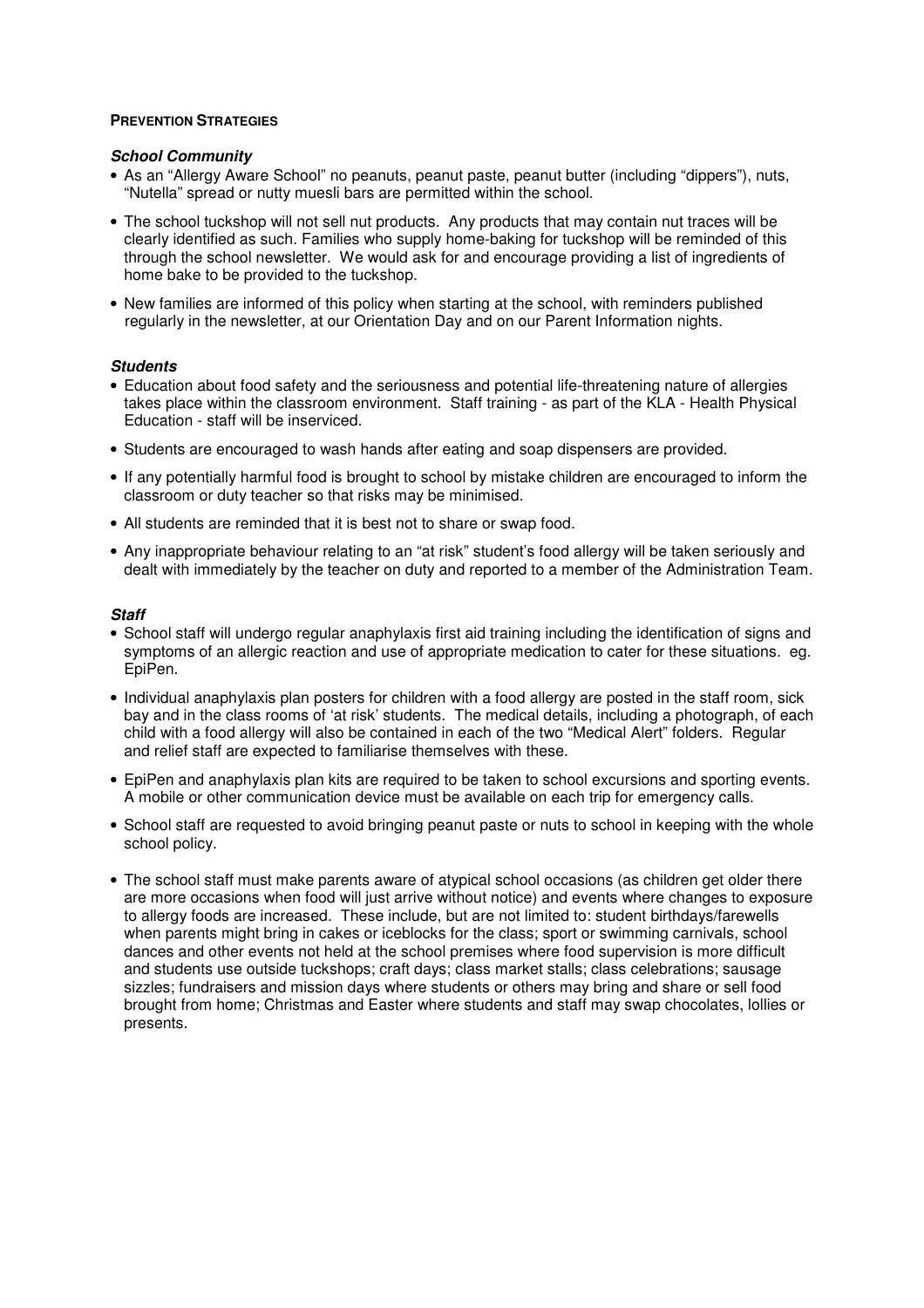## **PREVENTION STRATEGIES**

### *School Community*

- As an "Allergy Aware School" no peanuts, peanut paste, peanut butter (including "dippers"), nuts, "Nutella" spread or nutty muesli bars are permitted within the school.
- The school tuckshop will not sell nut products. Any products that may contain nut traces will be clearly identified as such. Families who supply home-baking for tuckshop will be reminded of this through the school newsletter. We would ask for and encourage providing a list of ingredients of home bake to be provided to the tuckshop.
- New families are informed of this policy when starting at the school, with reminders published regularly in the newsletter, at our Orientation Day and on our Parent Information nights.

# *Students*

- Education about food safety and the seriousness and potential life-threatening nature of allergies takes place within the classroom environment. Staff training - as part of the KLA - Health Physical Education - staff will be inserviced.
- Students are encouraged to wash hands after eating and soap dispensers are provided.
- If any potentially harmful food is brought to school by mistake children are encouraged to inform the classroom or duty teacher so that risks may be minimised.
- All students are reminded that it is best not to share or swap food.
- Any inappropriate behaviour relating to an "at risk" student's food allergy will be taken seriously and dealt with immediately by the teacher on duty and reported to a member of the Administration Team.

### *Staff*

- School staff will undergo regular anaphylaxis first aid training including the identification of signs and symptoms of an allergic reaction and use of appropriate medication to cater for these situations. eg. EpiPen.
- Individual anaphylaxis plan posters for children with a food allergy are posted in the staff room, sick bay and in the class rooms of 'at risk' students. The medical details, including a photograph, of each child with a food allergy will also be contained in each of the two "Medical Alert" folders. Regular and relief staff are expected to familiarise themselves with these.
- EpiPen and anaphylaxis plan kits are required to be taken to school excursions and sporting events. A mobile or other communication device must be available on each trip for emergency calls.
- School staff are requested to avoid bringing peanut paste or nuts to school in keeping with the whole school policy.
- The school staff must make parents aware of atypical school occasions (as children get older there are more occasions when food will just arrive without notice) and events where changes to exposure to allergy foods are increased. These include, but are not limited to: student birthdays/farewells when parents might bring in cakes or iceblocks for the class; sport or swimming carnivals, school dances and other events not held at the school premises where food supervision is more difficult and students use outside tuckshops; craft days; class market stalls; class celebrations; sausage sizzles; fundraisers and mission days where students or others may bring and share or sell food brought from home; Christmas and Easter where students and staff may swap chocolates, lollies or presents.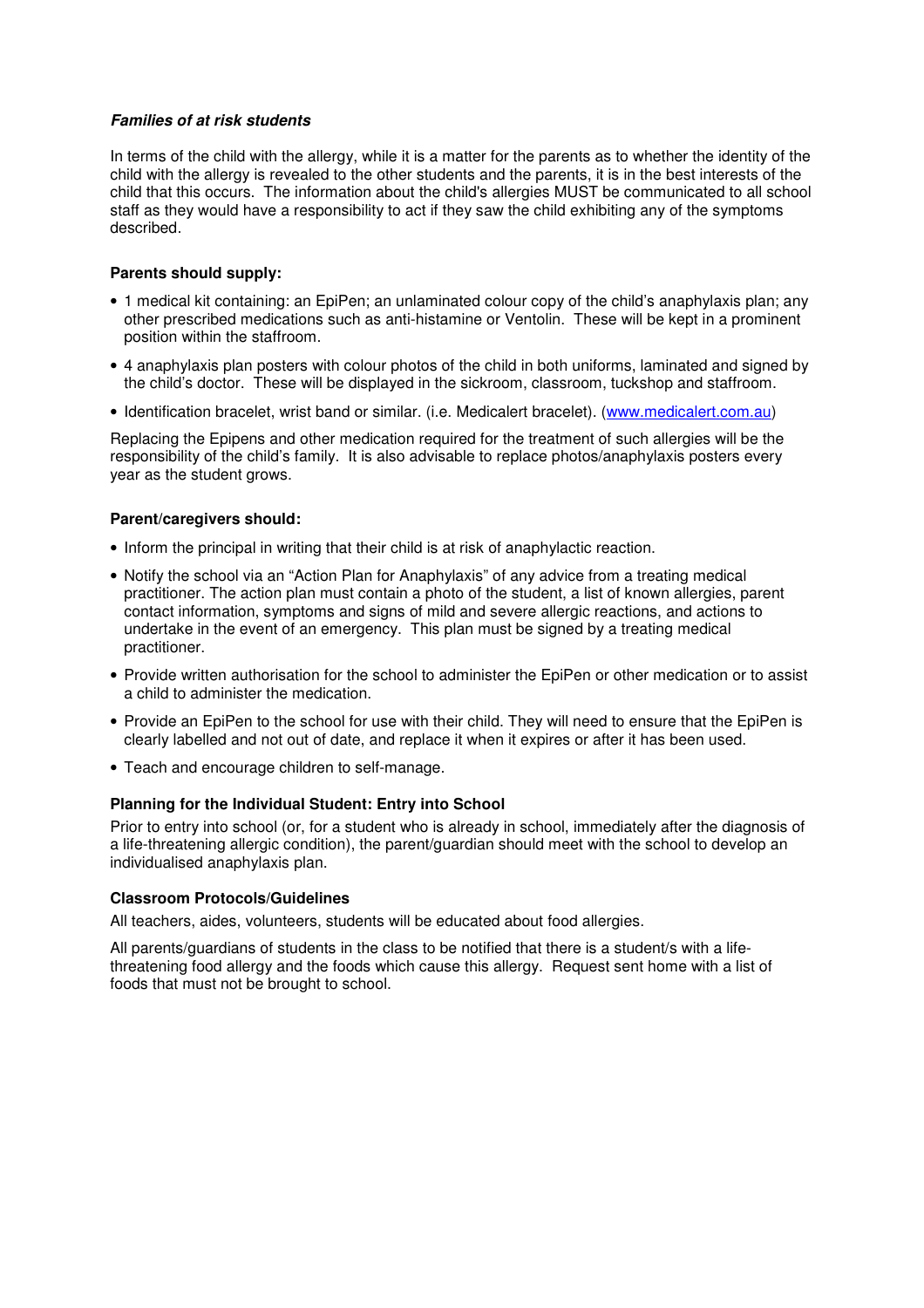# *Families of at risk students*

In terms of the child with the allergy, while it is a matter for the parents as to whether the identity of the child with the allergy is revealed to the other students and the parents, it is in the best interests of the child that this occurs. The information about the child's allergies MUST be communicated to all school staff as they would have a responsibility to act if they saw the child exhibiting any of the symptoms described.

# **Parents should supply:**

- 1 medical kit containing: an EpiPen; an unlaminated colour copy of the child's anaphylaxis plan; any other prescribed medications such as anti-histamine or Ventolin. These will be kept in a prominent position within the staffroom.
- 4 anaphylaxis plan posters with colour photos of the child in both uniforms, laminated and signed by the child's doctor. These will be displayed in the sickroom, classroom, tuckshop and staffroom.
- Identification bracelet, wrist band or similar. (i.e. Medicalert bracelet). (www.medicalert.com.au)

Replacing the Epipens and other medication required for the treatment of such allergies will be the responsibility of the child's family. It is also advisable to replace photos/anaphylaxis posters every year as the student grows.

### **Parent/caregivers should:**

- Inform the principal in writing that their child is at risk of anaphylactic reaction.
- Notify the school via an "Action Plan for Anaphylaxis" of any advice from a treating medical practitioner. The action plan must contain a photo of the student, a list of known allergies, parent contact information, symptoms and signs of mild and severe allergic reactions, and actions to undertake in the event of an emergency. This plan must be signed by a treating medical practitioner.
- Provide written authorisation for the school to administer the EpiPen or other medication or to assist a child to administer the medication.
- Provide an EpiPen to the school for use with their child. They will need to ensure that the EpiPen is clearly labelled and not out of date, and replace it when it expires or after it has been used.
- Teach and encourage children to self-manage.

# **Planning for the Individual Student: Entry into School**

Prior to entry into school (or, for a student who is already in school, immediately after the diagnosis of a life-threatening allergic condition), the parent/guardian should meet with the school to develop an individualised anaphylaxis plan.

### **Classroom Protocols/Guidelines**

All teachers, aides, volunteers, students will be educated about food allergies.

All parents/guardians of students in the class to be notified that there is a student/s with a lifethreatening food allergy and the foods which cause this allergy. Request sent home with a list of foods that must not be brought to school.